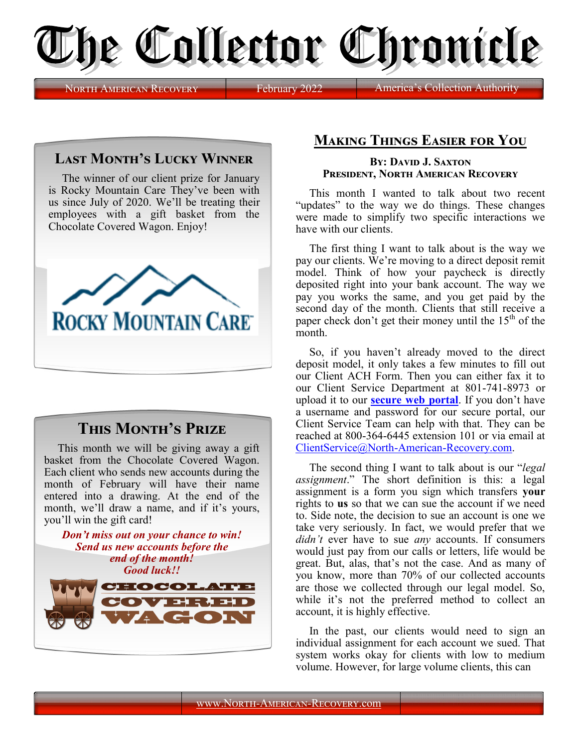

NORTH AMERICAN RECOVERY February 2022 **America** 

## **Last Month's Lucky Winner**

The winner of our client prize for January is Rocky Mountain Care They've been with us since July of 2020. We'll be treating their employees with a gift basket from the Chocolate Covered Wagon. Enjoy!



## **This Month's Prize**

This month we will be giving away a gift basket from the Chocolate Covered Wagon. Each client who sends new accounts during the month of February will have their name entered into a drawing. At the end of the month, we'll draw a name, and if it's yours, you'll win the gift card!



## **Making Things Easier for You**

## **By: David J. Saxton President, North American Recovery**

This month I wanted to talk about two recent "updates" to the way we do things. These changes were made to simplify two specific interactions we have with our clients.

The first thing I want to talk about is the way we pay our clients. We're moving to a direct deposit remit model. Think of how your paycheck is directly deposited right into your bank account. The way we pay you works the same, and you get paid by the second day of the month. Clients that still receive a paper check don't get their money until the  $15<sup>th</sup>$  of the month.

So, if you haven't already moved to the direct deposit model, it only takes a few minutes to fill out our Client ACH Form. Then you can either fax it to our Client Service Department at 801-741-8973 or upload it to our **[secure web portal](https://www.clientaccessweb.com/North-American-Recovery/Net/Main/Login/Default.aspx?ReturnUrl=%2fNorth-American-Recovery%2fNet)**. If you don't have a username and password for our secure portal, our Client Service Team can help with that. They can be reached at 800-364-6445 extension 101 or via email at [ClientService@North](mailto:ClientService@North-American-Recovery.com?subject=Requesting%20username%20and%20password%20for%20Client%20Access%20Web)-American-Recovery.com.

The second thing I want to talk about is our "*legal assignment*." The short definition is this: a legal assignment is a form you sign which transfers **your** rights to **us** so that we can sue the account if we need to. Side note, the decision to sue an account is one we take very seriously. In fact, we would prefer that we *didn't* ever have to sue *any* accounts. If consumers would just pay from our calls or letters, life would be great. But, alas, that's not the case. And as many of you know, more than 70% of our collected accounts are those we collected through our legal model. So, while it's not the preferred method to collect an account, it is highly effective.

In the past, our clients would need to sign an individual assignment for each account we sued. That system works okay for clients with low to medium volume. However, for large volume clients, this can